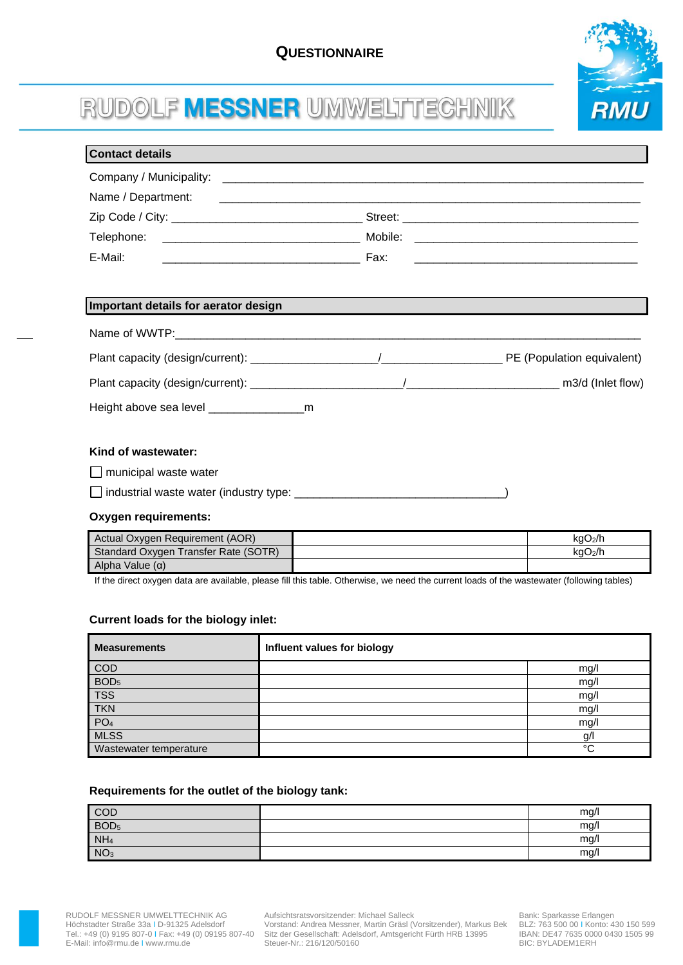

# RUDOLF MESSNER UMWELTTECHNIK

| <b>Contact details</b>               |  |
|--------------------------------------|--|
|                                      |  |
|                                      |  |
|                                      |  |
|                                      |  |
|                                      |  |
|                                      |  |
| Important details for aerator design |  |
|                                      |  |
|                                      |  |
|                                      |  |
|                                      |  |
|                                      |  |
| Kind of wastewater:                  |  |
| $\Box$ municipal waste water         |  |

industrial waste water (industry type: \_\_\_\_\_\_\_\_\_\_\_\_\_\_\_\_\_\_\_\_\_\_\_\_\_\_\_\_\_\_\_\_\_)

## **Oxygen requirements:**

| Actual Oxygen Requirement (AOR)      | kaO <sub>2</sub> /h |
|--------------------------------------|---------------------|
| Standard Oxygen Transfer Rate (SOTR) | kaO <sub>2</sub> /h |
| Alpha Value $(\alpha)$               |                     |

If the direct oxygen data are available, please fill this table. Otherwise, we need the current loads of the wastewater (following tables)

## **Current loads for the biology inlet:**

| <b>Measurements</b>    | Influent values for biology |        |
|------------------------|-----------------------------|--------|
| COD                    |                             | mg/l   |
| BOD <sub>5</sub>       |                             | mg/l   |
| <b>TSS</b>             |                             | mg/l   |
| <b>TKN</b>             |                             | mg/l   |
| PO <sub>4</sub>        |                             | mg/l   |
| <b>MLSS</b>            |                             | g/l    |
| Wastewater temperature |                             | $\sim$ |

#### **Requirements for the outlet of the biology tank:**

| COD              | mg/l |
|------------------|------|
| BOD <sub>5</sub> | mg/l |
| NH <sub>4</sub>  | mg/l |
| NO <sub>3</sub>  | mg/l |